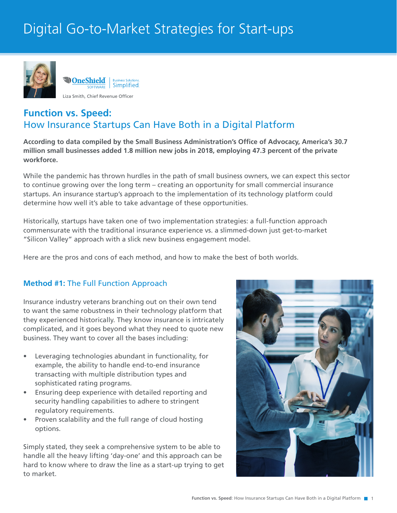# Digital Go-to-Market Strategies for Start-ups



# **Function vs. Speed:** How Insurance Startups Can Have Both in a Digital Platform

**According to data compiled by the Small Business Administration's Office of Advocacy, America's 30.7 million small businesses added 1.8 million new jobs in 2018, employing 47.3 percent of the private workforce.**

While the pandemic has thrown hurdles in the path of small business owners, we can expect this sector to continue growing over the long term – creating an opportunity for small commercial insurance startups. An insurance startup's approach to the implementation of its technology platform could determine how well it's able to take advantage of these opportunities.

Historically, startups have taken one of two implementation strategies: a full-function approach commensurate with the traditional insurance experience vs. a slimmed-down just get-to-market "Silicon Valley" approach with a slick new business engagement model.

Here are the pros and cons of each method, and how to make the best of both worlds.

## **Method #1:** The Full Function Approach

Insurance industry veterans branching out on their own tend to want the same robustness in their technology platform that they experienced historically. They know insurance is intricately complicated, and it goes beyond what they need to quote new business. They want to cover all the bases including:

- Leveraging technologies abundant in functionality, for example, the ability to handle end-to-end insurance transacting with multiple distribution types and sophisticated rating programs.
- Ensuring deep experience with detailed reporting and security handling capabilities to adhere to stringent regulatory requirements.
- Proven scalability and the full range of cloud hosting options.

Simply stated, they seek a comprehensive system to be able to handle all the heavy lifting 'day-one' and this approach can be hard to know where to draw the line as a start-up trying to get to market.

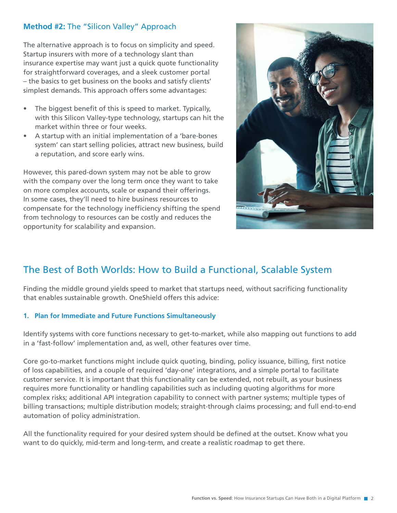## **Method #2:** The "Silicon Valley" Approach

The alternative approach is to focus on simplicity and speed. Startup insurers with more of a technology slant than insurance expertise may want just a quick quote functionality for straightforward coverages, and a sleek customer portal – the basics to get business on the books and satisfy clients' simplest demands. This approach offers some advantages:

- The biggest benefit of this is speed to market. Typically, with this Silicon Valley-type technology, startups can hit the market within three or four weeks.
- A startup with an initial implementation of a 'bare-bones system' can start selling policies, attract new business, build a reputation, and score early wins.

However, this pared-down system may not be able to grow with the company over the long term once they want to take on more complex accounts, scale or expand their offerings. In some cases, they'll need to hire business resources to compensate for the technology inefficiency shifting the spend from technology to resources can be costly and reduces the opportunity for scalability and expansion.



# The Best of Both Worlds: How to Build a Functional, Scalable System

Finding the middle ground yields speed to market that startups need, without sacrificing functionality that enables sustainable growth. OneShield offers this advice:

### **1. Plan for Immediate and Future Functions Simultaneously**

Identify systems with core functions necessary to get-to-market, while also mapping out functions to add in a 'fast-follow' implementation and, as well, other features over time.

Core go-to-market functions might include quick quoting, binding, policy issuance, billing, first notice of loss capabilities, and a couple of required 'day-one' integrations, and a simple portal to facilitate customer service. It is important that this functionality can be extended, not rebuilt, as your business requires more functionality or handling capabilities such as including quoting algorithms for more complex risks; additional API integration capability to connect with partner systems; multiple types of billing transactions; multiple distribution models; straight-through claims processing; and full end-to-end automation of policy administration.

All the functionality required for your desired system should be defined at the outset. Know what you want to do quickly, mid-term and long-term, and create a realistic roadmap to get there.